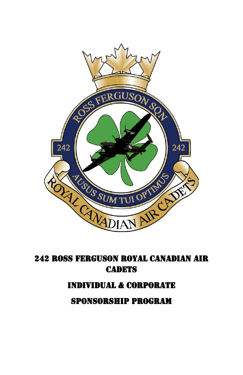

# 242 ROSS FERGUSON ROYAL CANADIAN AIR **CADETS**

#### Individual & CORPORATE

SPONSORSHIP PROGRAM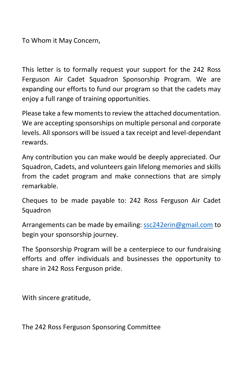To Whom it May Concern,

This letter is to formally request your support for the 242 Ross Ferguson Air Cadet Squadron Sponsorship Program. We are expanding our efforts to fund our program so that the cadets may enjoy a full range of training opportunities.

Please take a few moments to review the attached documentation. We are accepting sponsorships on multiple personal and corporate levels. All sponsors will be issued a tax receipt and level-dependant rewards.

Any contribution you can make would be deeply appreciated. Our Squadron, Cadets, and volunteers gain lifelong memories and skills from the cadet program and make connections that are simply remarkable.

Cheques to be made payable to: 242 Ross Ferguson Air Cadet Squadron

Arrangements can be made by emailing: [ssc242erin@gmail.com](mailto:ssc242erin@gmail.com) to begin your sponsorship journey.

The Sponsorship Program will be a centerpiece to our fundraising efforts and offer individuals and businesses the opportunity to share in 242 Ross Ferguson pride.

With sincere gratitude,

The 242 Ross Ferguson Sponsoring Committee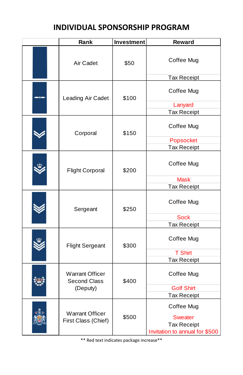### **INDIVIDUAL SPONSORSHIP PROGRAM**

|  | Rank                                                      | <b>Investment</b> | <b>Reward</b>                  |
|--|-----------------------------------------------------------|-------------------|--------------------------------|
|  | Air Cadet                                                 | \$50              | Coffee Mug                     |
|  |                                                           |                   | Tax Receipt                    |
|  | Leading Air Cadet                                         | \$100             | Coffee Mug                     |
|  |                                                           |                   | Lanyard                        |
|  |                                                           |                   | <b>Tax Receipt</b>             |
|  | Corporal                                                  | \$150             | Coffee Mug                     |
|  |                                                           |                   | Popsocket                      |
|  |                                                           |                   | <b>Tax Receipt</b>             |
|  | <b>Flight Corporal</b>                                    | \$200             | Coffee Mug                     |
|  |                                                           |                   | <b>Mask</b>                    |
|  |                                                           |                   | <b>Tax Receipt</b>             |
|  | Sergeant                                                  | \$250             | Coffee Mug                     |
|  |                                                           |                   | <b>Sock</b>                    |
|  |                                                           |                   | Tax Receipt                    |
|  | <b>Flight Sergeant</b>                                    | \$300             | Coffee Mug                     |
|  |                                                           |                   | <b>T Shirt</b>                 |
|  |                                                           |                   | Tax Receipt                    |
|  | <b>Warrant Officer</b><br><b>Second Class</b><br>(Deputy) | \$400             | Coffee Mug                     |
|  |                                                           |                   | <b>Golf Shirt</b>              |
|  |                                                           |                   | <b>Tax Receipt</b>             |
|  | <b>Warrant Officer</b>                                    | \$500             | Coffee Mug                     |
|  | First Class (Chief)                                       |                   | <b>Sweater</b>                 |
|  |                                                           |                   | <b>Tax Receipt</b>             |
|  |                                                           |                   | Invitation to annual for \$500 |

\*\* Red text indicates package increase\*\*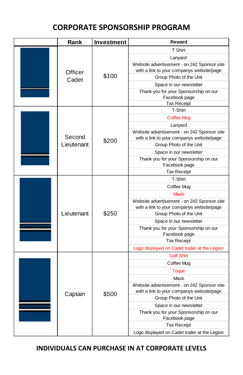## **CORPORATE SPONSORSHIP PROGRAM**

|  | Rank       | Investment | Reward                                                 |
|--|------------|------------|--------------------------------------------------------|
|  |            |            | T Shirt                                                |
|  |            |            | Lanyard                                                |
|  |            | \$100      | Website advertisement - on 242 Sponsor site            |
|  | Officer    |            | with a link to your companys website/page              |
|  | Cadet      |            | Group Photo of the Unit                                |
|  |            |            | Space in our newsletter                                |
|  |            |            | Thank you for your Sponsorship on our<br>Facebook page |
|  |            |            | <b>Tax Receipt</b>                                     |
|  |            |            | T-Shirt                                                |
|  |            |            | <b>Coffee Mug</b>                                      |
|  |            |            | Lanyard                                                |
|  |            |            | Website advertisement - on 242 Sponsor site            |
|  | Second     | \$200      | with a link to your companys website/page              |
|  | Lieutenant |            | Group Photo of the Unit                                |
|  |            |            | Space in our newsletter                                |
|  |            |            | Thank you for your Sponsorship on our<br>Facebook page |
|  |            |            | <b>Tax Receipt</b>                                     |
|  |            |            | T-Shirt                                                |
|  |            |            | Coffee Mug                                             |
|  |            |            | <b>Mask</b>                                            |
|  |            |            | Website advertisement - on 242 Sponsor site            |
|  |            |            | with a link to your companys website/page              |
|  | Lieutenant | \$250      | Group Photo of the Unit                                |
|  |            |            | Space in our newsletter                                |
|  |            |            | Thank you for your Sponsorship on our<br>Facebook page |
|  |            |            | <b>Tax Receipt</b>                                     |
|  |            |            | Logo displayed on Cadet trailer at the Legion          |
|  | Captain    | \$500      | <b>Golf Shirt</b>                                      |
|  |            |            | Coffee Mug                                             |
|  |            |            | <b>Toque</b>                                           |
|  |            |            | Mask                                                   |
|  |            |            | Website advertisement - on 242 Sponsor site            |
|  |            |            | with a link to your companys website/page              |
|  |            |            | Group Photo of the Unit                                |
|  |            |            | Space in our newsletter                                |
|  |            |            | Thank you for your Sponsorship on our<br>Facebook page |
|  |            |            | <b>Tax Receipt</b>                                     |
|  |            |            | Logo displayed on Cadet trailer at the Legion          |

**INDIVIDUALS CAN PURCHASE IN AT CORPORATE LEVELS**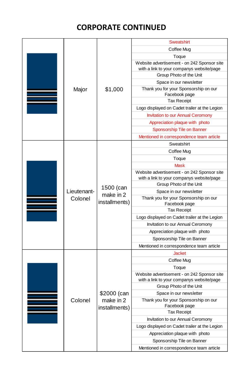## **CORPORATE CONTINUED**

|  |             |               | <b>Sweatshirt</b>                                                                        |
|--|-------------|---------------|------------------------------------------------------------------------------------------|
|  | Coffee Mug  |               |                                                                                          |
|  |             |               | Toque                                                                                    |
|  |             |               | Website advertisement - on 242 Sponsor site                                              |
|  |             |               | with a link to your companys website/page                                                |
|  |             |               | Group Photo of the Unit                                                                  |
|  |             |               | Space in our newsletter                                                                  |
|  | Major       | \$1,000       | Thank you for your Sponsorship on our<br>Facebook page                                   |
|  |             |               | <b>Tax Receipt</b>                                                                       |
|  |             |               | Logo displayed on Cadet trailer at the Legion                                            |
|  |             |               | <b>Invitation to our Annual Ceromony</b>                                                 |
|  |             |               | Appreciation plaque with photo                                                           |
|  |             |               | <b>Sponsorship Tile on Banner</b>                                                        |
|  |             |               | Mentioned in correspondence team article                                                 |
|  |             |               | Sweatshirt                                                                               |
|  |             |               | Coffee Mug                                                                               |
|  |             |               | Toque                                                                                    |
|  |             |               | <b>Mask</b>                                                                              |
|  |             |               | Website advertisement - on 242 Sponsor site                                              |
|  |             |               | with a link to your companys website/page                                                |
|  |             | 1500 (can     | Group Photo of the Unit                                                                  |
|  | Lieutenant- | make in 2     | Space in our newsletter                                                                  |
|  | Colonel     | installments) | Thank you for your Sponsorship on our<br>Facebook page                                   |
|  |             |               | <b>Tax Receipt</b>                                                                       |
|  |             |               | Logo displayed on Cadet trailer at the Legion                                            |
|  |             |               | Invitation to our Annual Ceromony                                                        |
|  |             |               | Appreciation plaque with photo                                                           |
|  |             |               | Sponsorship Tile on Banner                                                               |
|  |             |               | Mentioned in correspondence team article                                                 |
|  |             |               | <b>Jacket</b>                                                                            |
|  |             |               | Coffee Mug                                                                               |
|  |             |               | Toque                                                                                    |
|  |             |               | Website advertisement - on 242 Sponsor site<br>with a link to your companys website/page |
|  |             |               | Group Photo of the Unit                                                                  |
|  |             | \$2000 (can   | Space in our newsletter                                                                  |
|  | Colonel     | make in 2     | Thank you for your Sponsorship on our<br>Facebook page                                   |
|  |             | installments) | <b>Tax Receipt</b>                                                                       |
|  |             |               | Invitation to our Annual Ceromony                                                        |
|  |             |               | Logo displayed on Cadet trailer at the Legion                                            |
|  |             |               | Appreciation plaque with photo                                                           |
|  |             |               | Sponsorship Tile on Banner                                                               |
|  |             |               | Mentioned in correspondence team article                                                 |
|  |             |               |                                                                                          |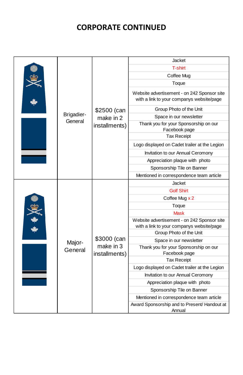## **CORPORATE CONTINUED**

|  | \$2500 (can<br>Brigadier-<br>make in 2<br>General<br>installments) | Jacket                                                 |                                                                                          |
|--|--------------------------------------------------------------------|--------------------------------------------------------|------------------------------------------------------------------------------------------|
|  |                                                                    |                                                        | T-shirt                                                                                  |
|  |                                                                    |                                                        | Coffee Mug                                                                               |
|  |                                                                    |                                                        | Toque                                                                                    |
|  |                                                                    |                                                        | Website advertisement - on 242 Sponsor site<br>with a link to your companys website/page |
|  |                                                                    |                                                        | Group Photo of the Unit                                                                  |
|  |                                                                    |                                                        | Space in our newsletter                                                                  |
|  |                                                                    |                                                        | Thank you for your Sponsorship on our<br>Facebook page                                   |
|  |                                                                    |                                                        | <b>Tax Receipt</b>                                                                       |
|  |                                                                    |                                                        | Logo displayed on Cadet trailer at the Legion                                            |
|  |                                                                    |                                                        | Invitation to our Annual Ceromony                                                        |
|  |                                                                    | Appreciation plaque with photo                         |                                                                                          |
|  |                                                                    |                                                        | Sponsorship Tile on Banner                                                               |
|  |                                                                    |                                                        | Mentioned in correspondence team article                                                 |
|  |                                                                    |                                                        | Jacket                                                                                   |
|  |                                                                    |                                                        | <b>Golf Shirt</b>                                                                        |
|  |                                                                    |                                                        | Coffee Mug x 2                                                                           |
|  |                                                                    |                                                        | Toque                                                                                    |
|  |                                                                    |                                                        | <b>Mask</b>                                                                              |
|  | \$3000 (can<br>Major-<br>make in 3<br>General<br>installments)     |                                                        | Website advertisement - on 242 Sponsor site<br>with a link to your companys website/page |
|  |                                                                    |                                                        | Group Photo of the Unit                                                                  |
|  |                                                                    |                                                        | Space in our newsletter                                                                  |
|  |                                                                    |                                                        | Thank you for your Sponsorship on our<br>Facebook page                                   |
|  |                                                                    |                                                        | <b>Tax Receipt</b>                                                                       |
|  |                                                                    |                                                        | Logo displayed on Cadet trailer at the Legion                                            |
|  |                                                                    |                                                        | Invitation to our Annual Ceromony                                                        |
|  |                                                                    |                                                        | Appreciation plaque with photo                                                           |
|  |                                                                    |                                                        | Sponsorship Tile on Banner                                                               |
|  |                                                                    |                                                        | Mentioned in correspondence team article                                                 |
|  |                                                                    | Award Sponsorship and to Present/ Handout at<br>Annual |                                                                                          |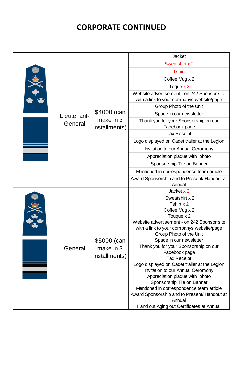## **CORPORATE CONTINUED**

|         | \$4000 (can<br>Lieutenant-<br>make in 3<br>General<br>installments) | <b>Jacket</b>                                 |                                               |
|---------|---------------------------------------------------------------------|-----------------------------------------------|-----------------------------------------------|
|         |                                                                     |                                               | Sweatshirt x 2                                |
|         |                                                                     |                                               | <b>Tshirt</b>                                 |
|         |                                                                     |                                               | Coffee Mug x 2                                |
|         |                                                                     |                                               | Toque x 2                                     |
|         |                                                                     |                                               | Website advertisement - on 242 Sponsor site   |
|         |                                                                     |                                               | with a link to your companys website/page     |
|         |                                                                     |                                               | Group Photo of the Unit                       |
|         |                                                                     |                                               | Space in our newsletter                       |
|         |                                                                     |                                               | Thank you for your Sponsorship on our         |
|         |                                                                     |                                               | Facebook page                                 |
|         |                                                                     |                                               | <b>Tax Receipt</b>                            |
|         |                                                                     |                                               | Logo displayed on Cadet trailer at the Legion |
|         |                                                                     | Invitation to our Annual Ceromony             |                                               |
|         |                                                                     | Appreciation plaque with photo                |                                               |
|         |                                                                     |                                               | Sponsorship Tile on Banner                    |
|         |                                                                     |                                               | Mentioned in correspondence team article      |
|         |                                                                     |                                               | Award Sponsorship and to Present/ Handout at  |
|         |                                                                     |                                               | Annual                                        |
|         |                                                                     |                                               | Jacket x 2                                    |
|         |                                                                     |                                               | Sweatshirt x 2                                |
|         |                                                                     |                                               | Tshirt x 2                                    |
|         |                                                                     |                                               | Coffee Mug x 2                                |
|         |                                                                     |                                               | Touque x 2                                    |
|         |                                                                     |                                               | Website advertisement - on 242 Sponsor site   |
|         |                                                                     |                                               | with a link to your companys website/page     |
|         | \$5000 (can                                                         | Group Photo of the Unit                       |                                               |
|         |                                                                     | Space in our newsletter                       |                                               |
| General |                                                                     | make in 3<br>installments)                    | Thank you for your Sponsorship on our         |
|         |                                                                     |                                               | Facebook page                                 |
|         |                                                                     |                                               | <b>Tax Receipt</b>                            |
|         |                                                                     | Logo displayed on Cadet trailer at the Legion |                                               |
|         |                                                                     |                                               | Invitation to our Annual Ceromony             |
|         |                                                                     |                                               | Appreciation plaque with photo                |
|         |                                                                     |                                               | Sponsorship Tile on Banner                    |
|         |                                                                     |                                               | Mentioned in correspondence team article      |
|         |                                                                     |                                               | Award Sponsorship and to Present/ Handout at  |
|         |                                                                     | Annual                                        |                                               |
|         |                                                                     |                                               | Hand out Aging out Certificates at Annual     |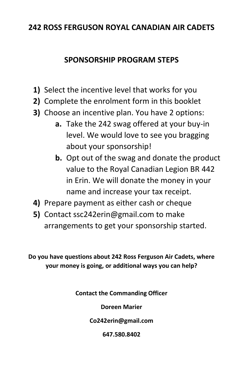#### **242 ROSS FERGUSON ROYAL CANADIAN AIR CADETS**

#### **SPONSORSHIP PROGRAM STEPS**

- **1)** Select the incentive level that works for you
- **2)** Complete the enrolment form in this booklet
- **3)** Choose an incentive plan. You have 2 options:
	- **a.** Take the 242 swag offered at your buy-in level. We would love to see you bragging about your sponsorship!
	- **b.** Opt out of the swag and donate the product value to the Royal Canadian Legion BR 442 in Erin. We will donate the money in your name and increase your tax receipt.
- **4)** Prepare payment as either cash or cheque
- **5)** Contact ssc242erin@gmail.com to make arrangements to get your sponsorship started.

**Do you have questions about 242 Ross Ferguson Air Cadets, where your money is going, or additional ways you can help?**

**Contact the Commanding Officer**

**Doreen Marier**

**Co242erin@gmail.com**

**647.580.8402**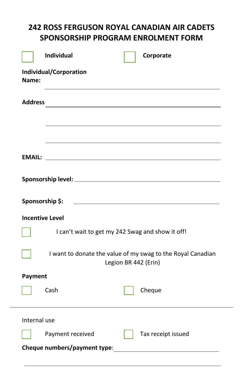# **242 ROSS FERGUSON ROYAL CANADIAN AIR CADETS SPONSORSHIP PROGRAM ENROLMENT FORM**

| <b>Individual</b><br>Corporate                                                                                                          |
|-----------------------------------------------------------------------------------------------------------------------------------------|
| Individual/Corporation<br>Name:                                                                                                         |
| <b>Address</b><br><u> 1989 - Johann Stein, mars an deutscher Stein und der Stein und der Stein und der Stein und der Stein und der</u>  |
| <b>EMAIL:</b>                                                                                                                           |
|                                                                                                                                         |
| <u> 1989 - Johann Barn, mars eta bainar eta bainar eta baina eta baina eta baina eta baina eta baina eta baina e</u><br>Sponsorship \$: |
| <b>Incentive Level</b>                                                                                                                  |
| I can't wait to get my 242 Swag and show it off!                                                                                        |
| I want to donate the value of my swag to the Royal Canadian<br>Legion BR 442 (Erin)                                                     |
| <b>Payment</b>                                                                                                                          |
| Cash<br>Cheque                                                                                                                          |
| Internal use                                                                                                                            |
| Payment received<br>Tax receipt issued                                                                                                  |
|                                                                                                                                         |